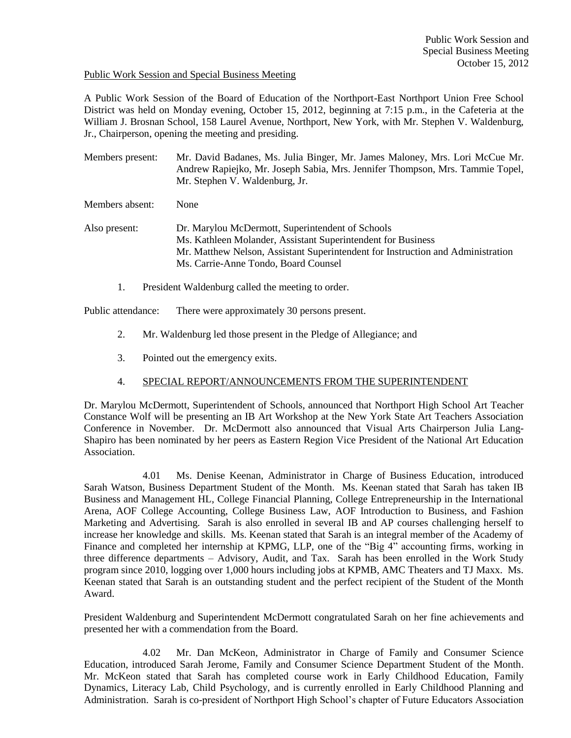### Public Work Session and Special Business Meeting

A Public Work Session of the Board of Education of the Northport-East Northport Union Free School District was held on Monday evening, October 15, 2012, beginning at 7:15 p.m., in the Cafeteria at the William J. Brosnan School, 158 Laurel Avenue, Northport, New York, with Mr. Stephen V. Waldenburg, Jr., Chairperson, opening the meeting and presiding.

Members present: Mr. David Badanes, Ms. Julia Binger, Mr. James Maloney, Mrs. Lori McCue Mr. Andrew Rapiejko, Mr. Joseph Sabia, Mrs. Jennifer Thompson, Mrs. Tammie Topel, Mr. Stephen V. Waldenburg, Jr.

Members absent: None

Also present: Dr. Marylou McDermott, Superintendent of Schools Ms. Kathleen Molander, Assistant Superintendent for Business Mr. Matthew Nelson, Assistant Superintendent for Instruction and Administration Ms. Carrie-Anne Tondo, Board Counsel

1. President Waldenburg called the meeting to order.

Public attendance: There were approximately 30 persons present.

- 2. Mr. Waldenburg led those present in the Pledge of Allegiance; and
- 3. Pointed out the emergency exits.

## 4. SPECIAL REPORT/ANNOUNCEMENTS FROM THE SUPERINTENDENT

Dr. Marylou McDermott, Superintendent of Schools, announced that Northport High School Art Teacher Constance Wolf will be presenting an IB Art Workshop at the New York State Art Teachers Association Conference in November. Dr. McDermott also announced that Visual Arts Chairperson Julia Lang-Shapiro has been nominated by her peers as Eastern Region Vice President of the National Art Education Association.

4.01 Ms. Denise Keenan, Administrator in Charge of Business Education, introduced Sarah Watson, Business Department Student of the Month. Ms. Keenan stated that Sarah has taken IB Business and Management HL, College Financial Planning, College Entrepreneurship in the International Arena, AOF College Accounting, College Business Law, AOF Introduction to Business, and Fashion Marketing and Advertising. Sarah is also enrolled in several IB and AP courses challenging herself to increase her knowledge and skills. Ms. Keenan stated that Sarah is an integral member of the Academy of Finance and completed her internship at KPMG, LLP, one of the "Big 4" accounting firms, working in three difference departments – Advisory, Audit, and Tax. Sarah has been enrolled in the Work Study program since 2010, logging over 1,000 hours including jobs at KPMB, AMC Theaters and TJ Maxx. Ms. Keenan stated that Sarah is an outstanding student and the perfect recipient of the Student of the Month Award.

President Waldenburg and Superintendent McDermott congratulated Sarah on her fine achievements and presented her with a commendation from the Board.

4.02 Mr. Dan McKeon, Administrator in Charge of Family and Consumer Science Education, introduced Sarah Jerome, Family and Consumer Science Department Student of the Month. Mr. McKeon stated that Sarah has completed course work in Early Childhood Education, Family Dynamics, Literacy Lab, Child Psychology, and is currently enrolled in Early Childhood Planning and Administration. Sarah is co-president of Northport High School's chapter of Future Educators Association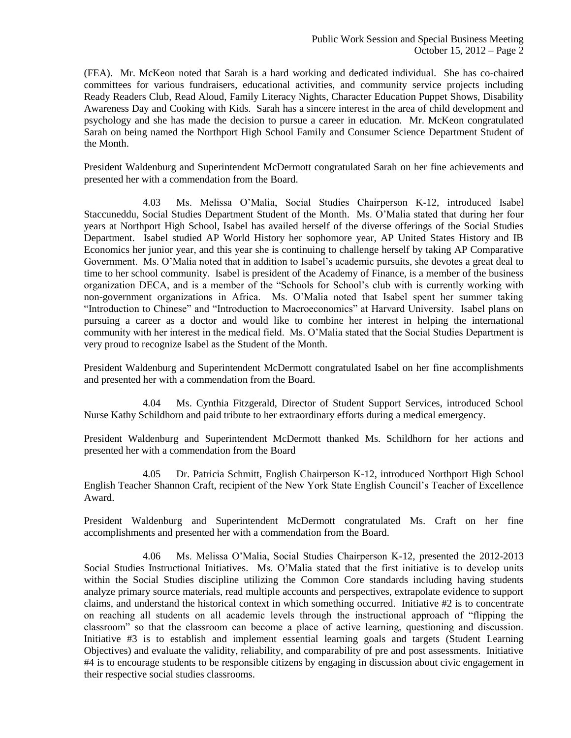(FEA). Mr. McKeon noted that Sarah is a hard working and dedicated individual. She has co-chaired committees for various fundraisers, educational activities, and community service projects including Ready Readers Club, Read Aloud, Family Literacy Nights, Character Education Puppet Shows, Disability Awareness Day and Cooking with Kids. Sarah has a sincere interest in the area of child development and psychology and she has made the decision to pursue a career in education. Mr. McKeon congratulated Sarah on being named the Northport High School Family and Consumer Science Department Student of the Month.

President Waldenburg and Superintendent McDermott congratulated Sarah on her fine achievements and presented her with a commendation from the Board.

4.03 Ms. Melissa O'Malia, Social Studies Chairperson K-12, introduced Isabel Staccuneddu, Social Studies Department Student of the Month. Ms. O'Malia stated that during her four years at Northport High School, Isabel has availed herself of the diverse offerings of the Social Studies Department. Isabel studied AP World History her sophomore year, AP United States History and IB Economics her junior year, and this year she is continuing to challenge herself by taking AP Comparative Government. Ms. O'Malia noted that in addition to Isabel's academic pursuits, she devotes a great deal to time to her school community. Isabel is president of the Academy of Finance, is a member of the business organization DECA, and is a member of the "Schools for School's club with is currently working with non-government organizations in Africa. Ms. O'Malia noted that Isabel spent her summer taking "Introduction to Chinese" and "Introduction to Macroeconomics" at Harvard University. Isabel plans on pursuing a career as a doctor and would like to combine her interest in helping the international community with her interest in the medical field. Ms. O'Malia stated that the Social Studies Department is very proud to recognize Isabel as the Student of the Month.

President Waldenburg and Superintendent McDermott congratulated Isabel on her fine accomplishments and presented her with a commendation from the Board.

4.04 Ms. Cynthia Fitzgerald, Director of Student Support Services, introduced School Nurse Kathy Schildhorn and paid tribute to her extraordinary efforts during a medical emergency.

President Waldenburg and Superintendent McDermott thanked Ms. Schildhorn for her actions and presented her with a commendation from the Board

4.05 Dr. Patricia Schmitt, English Chairperson K-12, introduced Northport High School English Teacher Shannon Craft, recipient of the New York State English Council's Teacher of Excellence Award.

President Waldenburg and Superintendent McDermott congratulated Ms. Craft on her fine accomplishments and presented her with a commendation from the Board.

4.06 Ms. Melissa O'Malia, Social Studies Chairperson K-12, presented the 2012-2013 Social Studies Instructional Initiatives. Ms. O'Malia stated that the first initiative is to develop units within the Social Studies discipline utilizing the Common Core standards including having students analyze primary source materials, read multiple accounts and perspectives, extrapolate evidence to support claims, and understand the historical context in which something occurred. Initiative #2 is to concentrate on reaching all students on all academic levels through the instructional approach of "flipping the classroom" so that the classroom can become a place of active learning, questioning and discussion. Initiative #3 is to establish and implement essential learning goals and targets (Student Learning Objectives) and evaluate the validity, reliability, and comparability of pre and post assessments. Initiative #4 is to encourage students to be responsible citizens by engaging in discussion about civic engagement in their respective social studies classrooms.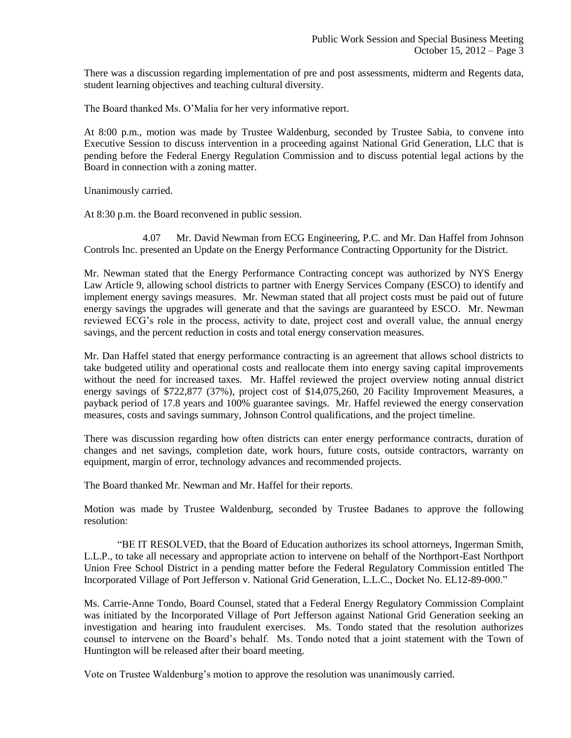There was a discussion regarding implementation of pre and post assessments, midterm and Regents data, student learning objectives and teaching cultural diversity.

The Board thanked Ms. O'Malia for her very informative report.

At 8:00 p.m., motion was made by Trustee Waldenburg, seconded by Trustee Sabia, to convene into Executive Session to discuss intervention in a proceeding against National Grid Generation, LLC that is pending before the Federal Energy Regulation Commission and to discuss potential legal actions by the Board in connection with a zoning matter.

Unanimously carried.

At 8:30 p.m. the Board reconvened in public session.

4.07 Mr. David Newman from ECG Engineering, P.C. and Mr. Dan Haffel from Johnson Controls Inc. presented an Update on the Energy Performance Contracting Opportunity for the District.

Mr. Newman stated that the Energy Performance Contracting concept was authorized by NYS Energy Law Article 9, allowing school districts to partner with Energy Services Company (ESCO) to identify and implement energy savings measures. Mr. Newman stated that all project costs must be paid out of future energy savings the upgrades will generate and that the savings are guaranteed by ESCO. Mr. Newman reviewed ECG's role in the process, activity to date, project cost and overall value, the annual energy savings, and the percent reduction in costs and total energy conservation measures.

Mr. Dan Haffel stated that energy performance contracting is an agreement that allows school districts to take budgeted utility and operational costs and reallocate them into energy saving capital improvements without the need for increased taxes. Mr. Haffel reviewed the project overview noting annual district energy savings of \$722,877 (37%), project cost of \$14,075,260, 20 Facility Improvement Measures, a payback period of 17.8 years and 100% guarantee savings. Mr. Haffel reviewed the energy conservation measures, costs and savings summary, Johnson Control qualifications, and the project timeline.

There was discussion regarding how often districts can enter energy performance contracts, duration of changes and net savings, completion date, work hours, future costs, outside contractors, warranty on equipment, margin of error, technology advances and recommended projects.

The Board thanked Mr. Newman and Mr. Haffel for their reports.

Motion was made by Trustee Waldenburg, seconded by Trustee Badanes to approve the following resolution:

"BE IT RESOLVED, that the Board of Education authorizes its school attorneys, Ingerman Smith, L.L.P., to take all necessary and appropriate action to intervene on behalf of the Northport-East Northport Union Free School District in a pending matter before the Federal Regulatory Commission entitled The Incorporated Village of Port Jefferson v. National Grid Generation, L.L.C., Docket No. EL12-89-000."

Ms. Carrie-Anne Tondo, Board Counsel, stated that a Federal Energy Regulatory Commission Complaint was initiated by the Incorporated Village of Port Jefferson against National Grid Generation seeking an investigation and hearing into fraudulent exercises. Ms. Tondo stated that the resolution authorizes counsel to intervene on the Board's behalf. Ms. Tondo noted that a joint statement with the Town of Huntington will be released after their board meeting.

Vote on Trustee Waldenburg's motion to approve the resolution was unanimously carried.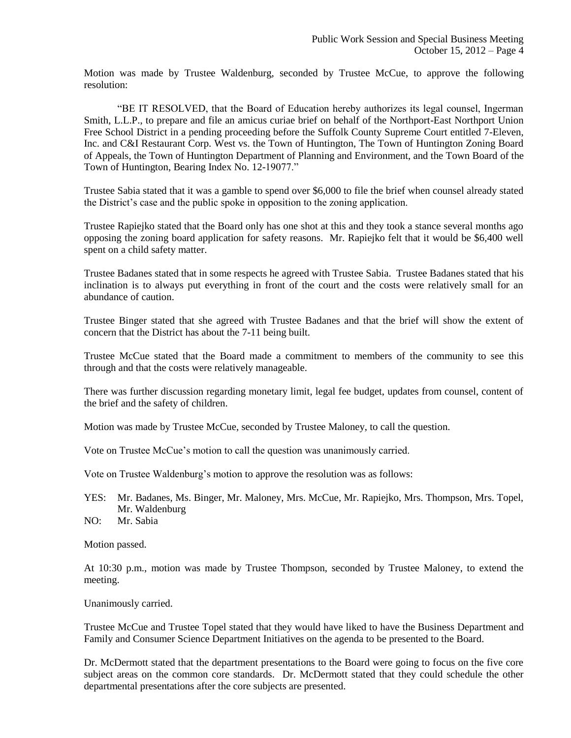Motion was made by Trustee Waldenburg, seconded by Trustee McCue, to approve the following resolution:

"BE IT RESOLVED, that the Board of Education hereby authorizes its legal counsel, Ingerman Smith, L.L.P., to prepare and file an amicus curiae brief on behalf of the Northport-East Northport Union Free School District in a pending proceeding before the Suffolk County Supreme Court entitled 7-Eleven, Inc. and C&I Restaurant Corp. West vs. the Town of Huntington, The Town of Huntington Zoning Board of Appeals, the Town of Huntington Department of Planning and Environment, and the Town Board of the Town of Huntington, Bearing Index No. 12-19077."

Trustee Sabia stated that it was a gamble to spend over \$6,000 to file the brief when counsel already stated the District's case and the public spoke in opposition to the zoning application.

Trustee Rapiejko stated that the Board only has one shot at this and they took a stance several months ago opposing the zoning board application for safety reasons. Mr. Rapiejko felt that it would be \$6,400 well spent on a child safety matter.

Trustee Badanes stated that in some respects he agreed with Trustee Sabia. Trustee Badanes stated that his inclination is to always put everything in front of the court and the costs were relatively small for an abundance of caution.

Trustee Binger stated that she agreed with Trustee Badanes and that the brief will show the extent of concern that the District has about the 7-11 being built.

Trustee McCue stated that the Board made a commitment to members of the community to see this through and that the costs were relatively manageable.

There was further discussion regarding monetary limit, legal fee budget, updates from counsel, content of the brief and the safety of children.

Motion was made by Trustee McCue, seconded by Trustee Maloney, to call the question.

Vote on Trustee McCue's motion to call the question was unanimously carried.

Vote on Trustee Waldenburg's motion to approve the resolution was as follows:

- YES: Mr. Badanes, Ms. Binger, Mr. Maloney, Mrs. McCue, Mr. Rapiejko, Mrs. Thompson, Mrs. Topel, Mr. Waldenburg
- NO: Mr. Sabia

Motion passed.

At 10:30 p.m., motion was made by Trustee Thompson, seconded by Trustee Maloney, to extend the meeting.

Unanimously carried.

Trustee McCue and Trustee Topel stated that they would have liked to have the Business Department and Family and Consumer Science Department Initiatives on the agenda to be presented to the Board.

Dr. McDermott stated that the department presentations to the Board were going to focus on the five core subject areas on the common core standards. Dr. McDermott stated that they could schedule the other departmental presentations after the core subjects are presented.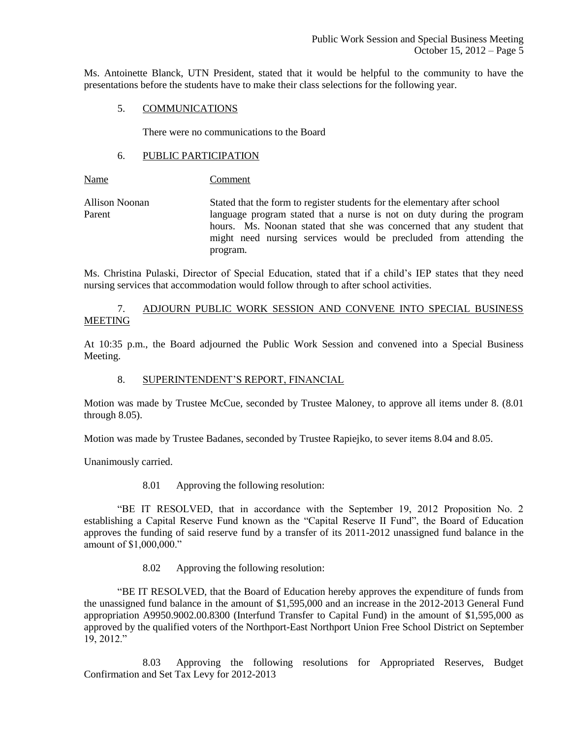Ms. Antoinette Blanck, UTN President, stated that it would be helpful to the community to have the presentations before the students have to make their class selections for the following year.

### 5. COMMUNICATIONS

There were no communications to the Board

### 6. PUBLIC PARTICIPATION

Name Comment

Allison Noonan Stated that the form to register students for the elementary after school Parent language program stated that a nurse is not on duty during the program hours. Ms. Noonan stated that she was concerned that any student that might need nursing services would be precluded from attending the program.

Ms. Christina Pulaski, Director of Special Education, stated that if a child's IEP states that they need nursing services that accommodation would follow through to after school activities.

## 7. ADJOURN PUBLIC WORK SESSION AND CONVENE INTO SPECIAL BUSINESS MEETING

At 10:35 p.m., the Board adjourned the Public Work Session and convened into a Special Business Meeting.

## 8. SUPERINTENDENT'S REPORT, FINANCIAL

Motion was made by Trustee McCue, seconded by Trustee Maloney, to approve all items under 8. (8.01 through 8.05).

Motion was made by Trustee Badanes, seconded by Trustee Rapiejko, to sever items 8.04 and 8.05.

Unanimously carried.

8.01 Approving the following resolution:

"BE IT RESOLVED, that in accordance with the September 19, 2012 Proposition No. 2 establishing a Capital Reserve Fund known as the "Capital Reserve II Fund", the Board of Education approves the funding of said reserve fund by a transfer of its 2011-2012 unassigned fund balance in the amount of \$1,000,000."

8.02 Approving the following resolution:

"BE IT RESOLVED, that the Board of Education hereby approves the expenditure of funds from the unassigned fund balance in the amount of \$1,595,000 and an increase in the 2012-2013 General Fund appropriation A9950.9002.00.8300 (Interfund Transfer to Capital Fund) in the amount of \$1,595,000 as approved by the qualified voters of the Northport-East Northport Union Free School District on September 19, 2012."

8.03 Approving the following resolutions for Appropriated Reserves, Budget Confirmation and Set Tax Levy for 2012-2013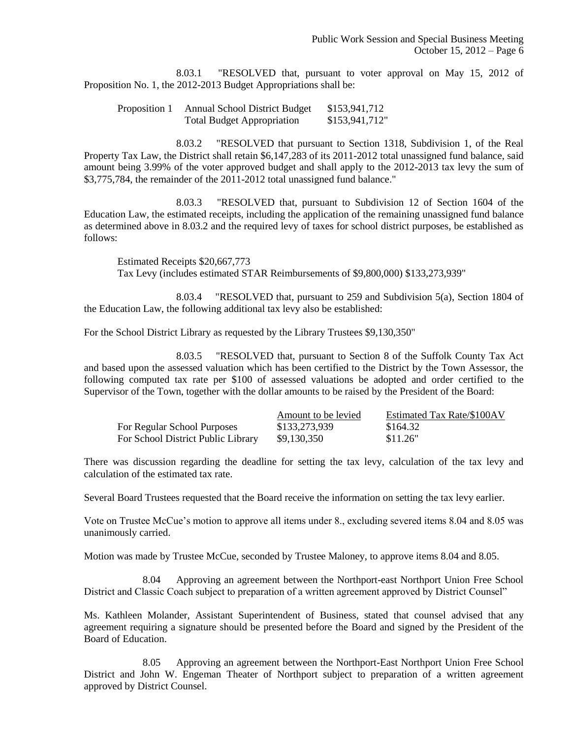8.03.1 "RESOLVED that, pursuant to voter approval on May 15, 2012 of Proposition No. 1, the 2012-2013 Budget Appropriations shall be:

Proposition 1 Annual School District Budget \$153,941,712 Total Budget Appropriation \$153,941,712"

8.03.2 "RESOLVED that pursuant to Section 1318, Subdivision 1, of the Real Property Tax Law, the District shall retain \$6,147,283 of its 2011-2012 total unassigned fund balance, said amount being 3.99% of the voter approved budget and shall apply to the 2012-2013 tax levy the sum of \$3,775,784, the remainder of the 2011-2012 total unassigned fund balance."

8.03.3 "RESOLVED that, pursuant to Subdivision 12 of Section 1604 of the Education Law, the estimated receipts, including the application of the remaining unassigned fund balance as determined above in 8.03.2 and the required levy of taxes for school district purposes, be established as follows:

Estimated Receipts \$20,667,773 Tax Levy (includes estimated STAR Reimbursements of \$9,800,000) \$133,273,939"

8.03.4 "RESOLVED that, pursuant to 259 and Subdivision 5(a), Section 1804 of the Education Law, the following additional tax levy also be established:

For the School District Library as requested by the Library Trustees \$9,130,350"

8.03.5 "RESOLVED that, pursuant to Section 8 of the Suffolk County Tax Act and based upon the assessed valuation which has been certified to the District by the Town Assessor, the following computed tax rate per \$100 of assessed valuations be adopted and order certified to the Supervisor of the Town, together with the dollar amounts to be raised by the President of the Board:

|                                    | Amount to be levied | Estimated Tax Rate/\$100AV |
|------------------------------------|---------------------|----------------------------|
| For Regular School Purposes        | \$133,273,939       | \$164.32                   |
| For School District Public Library | \$9.130.350         | \$11.26"                   |

There was discussion regarding the deadline for setting the tax levy, calculation of the tax levy and calculation of the estimated tax rate.

Several Board Trustees requested that the Board receive the information on setting the tax levy earlier.

Vote on Trustee McCue's motion to approve all items under 8., excluding severed items 8.04 and 8.05 was unanimously carried.

Motion was made by Trustee McCue, seconded by Trustee Maloney, to approve items 8.04 and 8.05.

8.04 Approving an agreement between the Northport-east Northport Union Free School District and Classic Coach subject to preparation of a written agreement approved by District Counsel"

Ms. Kathleen Molander, Assistant Superintendent of Business, stated that counsel advised that any agreement requiring a signature should be presented before the Board and signed by the President of the Board of Education.

8.05 Approving an agreement between the Northport-East Northport Union Free School District and John W. Engeman Theater of Northport subject to preparation of a written agreement approved by District Counsel.